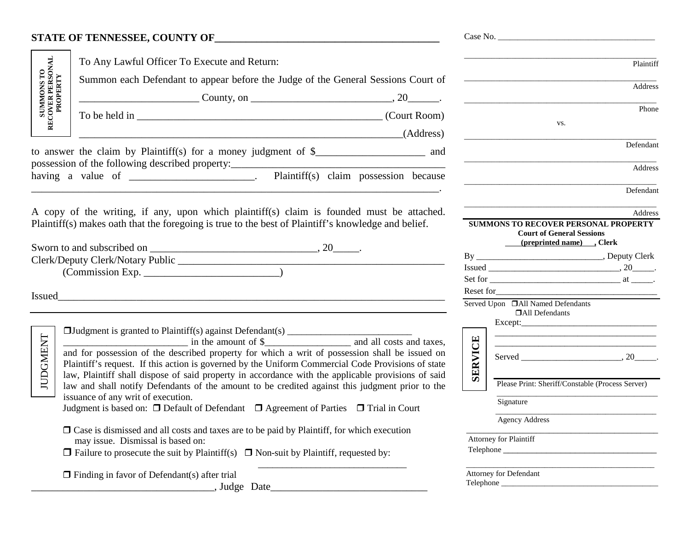## **STATE OF TENNESSEE, COUNTY OF**

|                                                                                           | To Any Lawful Officer To Execute and Return:                                                                                                                                                                                                                                                               |                                                                                                             | Plaintiff |
|-------------------------------------------------------------------------------------------|------------------------------------------------------------------------------------------------------------------------------------------------------------------------------------------------------------------------------------------------------------------------------------------------------------|-------------------------------------------------------------------------------------------------------------|-----------|
| SUMMONS TO<br>RECOVER PERSONAL<br>PROPERTY                                                | Summon each Defendant to appear before the Judge of the General Sessions Court of                                                                                                                                                                                                                          |                                                                                                             | Address   |
|                                                                                           |                                                                                                                                                                                                                                                                                                            |                                                                                                             |           |
|                                                                                           |                                                                                                                                                                                                                                                                                                            |                                                                                                             | Phone     |
|                                                                                           | (Address)                                                                                                                                                                                                                                                                                                  | VS.                                                                                                         |           |
|                                                                                           | to answer the claim by Plaintiff(s) for a money judgment of \$____________________ and                                                                                                                                                                                                                     |                                                                                                             | Defendant |
|                                                                                           | having a value of _______________________. Plaintiff(s) claim possession because                                                                                                                                                                                                                           |                                                                                                             | Address   |
|                                                                                           |                                                                                                                                                                                                                                                                                                            |                                                                                                             | Defendant |
| A copy of the writing, if any, upon which plaintiff(s) claim is founded must be attached. |                                                                                                                                                                                                                                                                                                            |                                                                                                             | Address   |
|                                                                                           | Plaintiff(s) makes oath that the foregoing is true to the best of Plaintiff's knowledge and belief.                                                                                                                                                                                                        | <b>SUMMONS TO RECOVER PERSONAL PROPERTY</b><br><b>Court of General Sessions</b><br>(preprinted name) .Clerk |           |
|                                                                                           |                                                                                                                                                                                                                                                                                                            |                                                                                                             |           |
|                                                                                           |                                                                                                                                                                                                                                                                                                            | $\boxed{\text{Is sued}}\_\_\_\_\_ \,,\,20\_\_\_\_\,.$                                                       |           |
|                                                                                           |                                                                                                                                                                                                                                                                                                            |                                                                                                             |           |
| Issued_                                                                                   |                                                                                                                                                                                                                                                                                                            | Served Upon [All Named Defendants]<br><b>DAll Defendants</b>                                                |           |
|                                                                                           |                                                                                                                                                                                                                                                                                                            | <u> 1980 - Johann Barbara, margaret eta idazlea (h. 1980).</u>                                              |           |
|                                                                                           | in the amount of \$                                                                                                                                                                                                                                                                                        |                                                                                                             |           |
| <b>JUDGMENT</b>                                                                           | and for possession of the described property for which a writ of possession shall be issued on<br>Plaintiff's request. If this action is governed by the Uniform Commercial Code Provisions of state<br>law, Plaintiff shall dispose of said property in accordance with the applicable provisions of said | <b>SERVICE</b>                                                                                              |           |
|                                                                                           | law and shall notify Defendants of the amount to be credited against this judgment prior to the                                                                                                                                                                                                            | Please Print: Sheriff/Constable (Process Server)                                                            |           |
|                                                                                           | issuance of any writ of execution.                                                                                                                                                                                                                                                                         | Signature                                                                                                   |           |
|                                                                                           | Judgment is based on: □ Default of Defendant □ Agreement of Parties □ Trial in Court                                                                                                                                                                                                                       | <b>Agency Address</b>                                                                                       |           |
|                                                                                           | $\Box$ Case is dismissed and all costs and taxes are to be paid by Plaintiff, for which execution                                                                                                                                                                                                          |                                                                                                             |           |
|                                                                                           | may issue. Dismissal is based on:                                                                                                                                                                                                                                                                          | Attorney for Plaintiff                                                                                      |           |
|                                                                                           | $\Box$ Failure to prosecute the suit by Plaintiff(s) $\Box$ Non-suit by Plaintiff, requested by:                                                                                                                                                                                                           |                                                                                                             |           |
|                                                                                           | $\Box$ Finding in favor of Defendant(s) after trial                                                                                                                                                                                                                                                        | Attorney for Defendant                                                                                      |           |